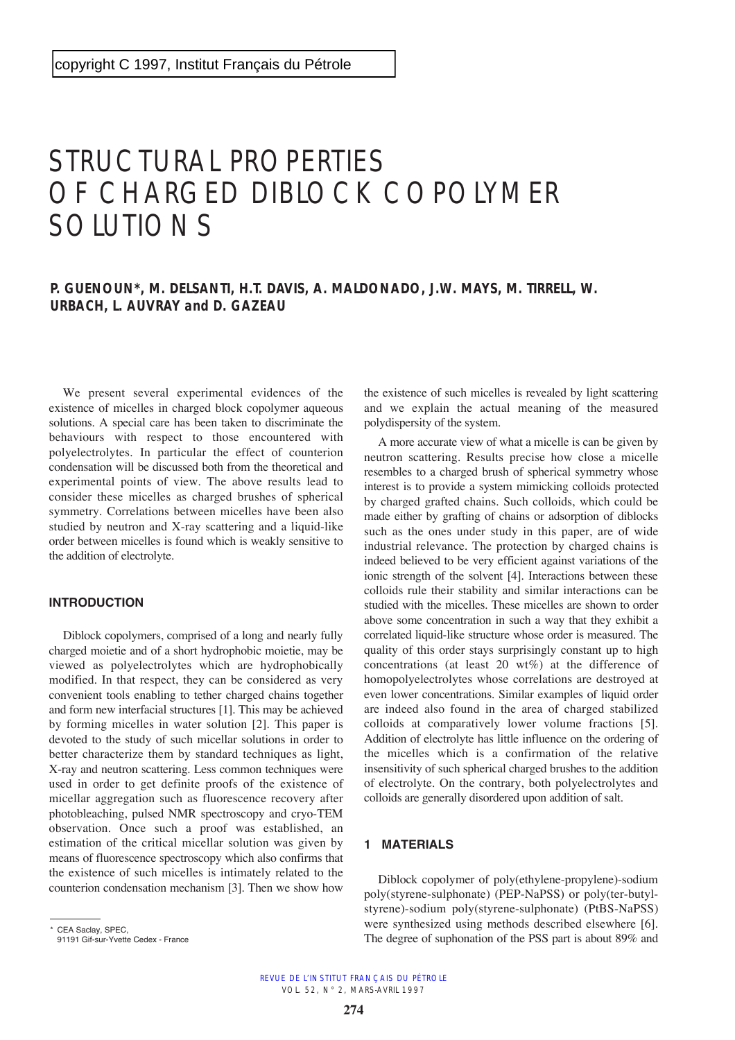# STRUCTURAL PROPERTIES OF CHARGED DIBLOCK COPOLYMER SOLUTIONS

## **P. GUENOUN\*, M. DELSANTI, H.T. DAVIS, A. MALDONADO, J.W. MAYS, M. TIRRELL, W. URBACH, L. AUVRAY and D. GAZEAU**

We present several experimental evidences of the existence of micelles in charged block copolymer aqueous solutions. A special care has been taken to discriminate the behaviours with respect to those encountered with polyelectrolytes. In particular the effect of counterion condensation will be discussed both from the theoretical and experimental points of view. The above results lead to consider these micelles as charged brushes of spherical symmetry. Correlations between micelles have been also studied by neutron and X-ray scattering and a liquid-like order between micelles is found which is weakly sensitive to the addition of electrolyte.

#### **INTRODUCTION**

Diblock copolymers, comprised of a long and nearly fully charged moietie and of a short hydrophobic moietie, may be viewed as polyelectrolytes which are hydrophobically modified. In that respect, they can be considered as very convenient tools enabling to tether charged chains together and form new interfacial structures [1]. This may be achieved by forming micelles in water solution [2]. This paper is devoted to the study of such micellar solutions in order to better characterize them by standard techniques as light, X-ray and neutron scattering. Less common techniques were used in order to get definite proofs of the existence of micellar aggregation such as fluorescence recovery after photobleaching, pulsed NMR spectroscopy and cryo-TEM observation. Once such a proof was established, an estimation of the critical micellar solution was given by means of fluorescence spectroscopy which also confirms that the existence of such micelles is intimately related to the counterion condensation mechanism [3]. Then we show how the existence of such micelles is revealed by light scattering and we explain the actual meaning of the measured polydispersity of the system.

A more accurate view of what a micelle is can be given by neutron scattering. Results precise how close a micelle resembles to a charged brush of spherical symmetry whose interest is to provide a system mimicking colloids protected by charged grafted chains. Such colloids, which could be made either by grafting of chains or adsorption of diblocks such as the ones under study in this paper, are of wide industrial relevance. The protection by charged chains is indeed believed to be very efficient against variations of the ionic strength of the solvent [4]. Interactions between these colloids rule their stability and similar interactions can be studied with the micelles. These micelles are shown to order above some concentration in such a way that they exhibit a correlated liquid-like structure whose order is measured. The quality of this order stays surprisingly constant up to high concentrations (at least 20 wt%) at the difference of homopolyelectrolytes whose correlations are destroyed at even lower concentrations. Similar examples of liquid order are indeed also found in the area of charged stabilized colloids at comparatively lower volume fractions [5]. Addition of electrolyte has little influence on the ordering of the micelles which is a confirmation of the relative insensitivity of such spherical charged brushes to the addition of electrolyte. On the contrary, both polyelectrolytes and colloids are generally disordered upon addition of salt.

#### **1 MATERIALS**

Diblock copolymer of poly(ethylene-propylene)-sodium poly(styrene-sulphonate) (PEP-NaPSS) or poly(ter-butylstyrene)-sodium poly(styrene-sulphonate) (PtBS-NaPSS) were synthesized using methods described elsewhere [6]. The degree of suphonation of the PSS part is about 89% and

<sup>\*</sup> CEA Saclay, SPEC,

<sup>91191</sup> Gif-sur-Yvette Cedex - France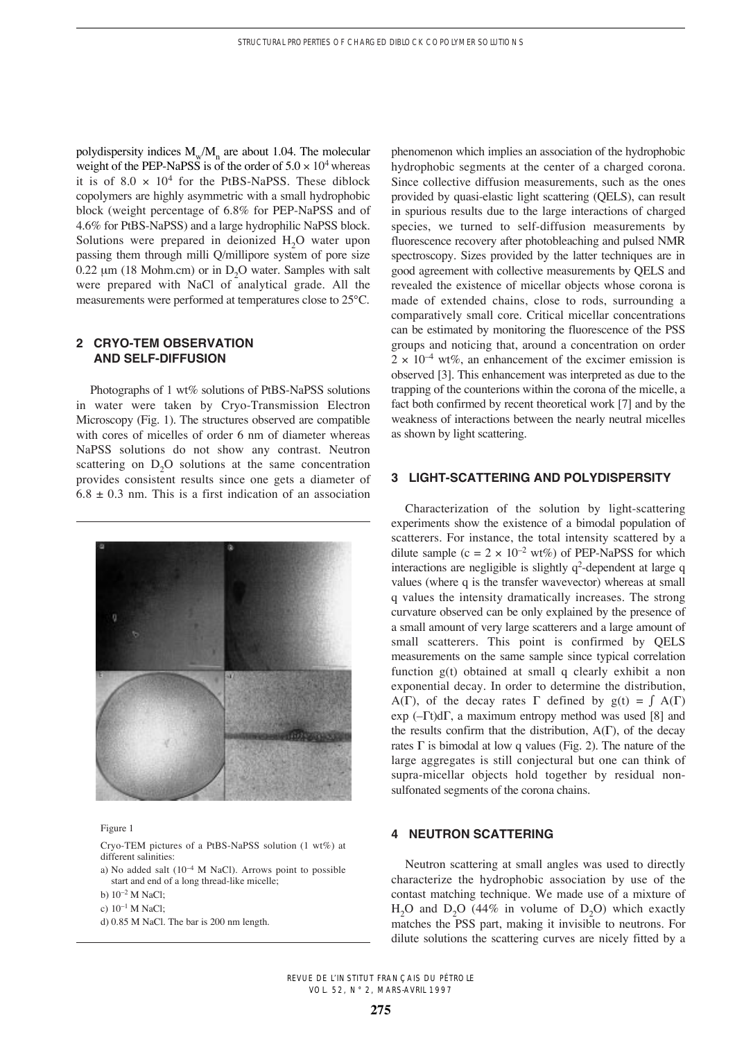polydispersity indices  $M_{w}/M_{n}$  are about 1.04. The molecular weight of the PEP-NaPSS is of the order of  $5.0 \times 10^4$  whereas it is of  $8.0 \times 10^4$  for the PtBS-NaPSS. These diblock copolymers are highly asymmetric with a small hydrophobic block (weight percentage of 6.8% for PEP-NaPSS and of 4.6% for PtBS-NaPSS) and a large hydrophilic NaPSS block. Solutions were prepared in deionized H<sub>2</sub>O water upon passing them through milli Q/millipore system of pore size  $0.22 \mu m$  (18 Mohm.cm) or in D<sub>2</sub>O water. Samples with salt were prepared with NaCl of analytical grade. All the measurements were performed at temperatures close to 25°C.

### **2 CRYO-TEM OBSERVATION AND SELF-DIFFUSION**

Photographs of 1 wt% solutions of PtBS-NaPSS solutions in water were taken by Cryo-Transmission Electron Microscopy (Fig. 1). The structures observed are compatible with cores of micelles of order 6 nm of diameter whereas NaPSS solutions do not show any contrast. Neutron scattering on  $D_2O$  solutions at the same concentration provides consistent results since one gets a diameter of  $6.8 \pm 0.3$  nm. This is a first indication of an association



#### Figure 1

Cryo-TEM pictures of a PtBS-NaPSS solution (1 wt%) at different salinities:

- a) No added salt  $(10^{-4}$  M NaCl). Arrows point to possible start and end of a long thread-like micelle;
- b) 10–2 M NaCl;
- c) 10–1 M NaCl;
- d) 0.85 M NaCl. The bar is 200 nm length.

phenomenon which implies an association of the hydrophobic hydrophobic segments at the center of a charged corona. Since collective diffusion measurements, such as the ones provided by quasi-elastic light scattering (QELS), can result in spurious results due to the large interactions of charged species, we turned to self-diffusion measurements by fluorescence recovery after photobleaching and pulsed NMR spectroscopy. Sizes provided by the latter techniques are in good agreement with collective measurements by QELS and revealed the existence of micellar objects whose corona is made of extended chains, close to rods, surrounding a comparatively small core. Critical micellar concentrations can be estimated by monitoring the fluorescence of the PSS groups and noticing that, around a concentration on order  $2 \times 10^{-4}$  wt%, an enhancement of the excimer emission is observed [3]. This enhancement was interpreted as due to the trapping of the counterions within the corona of the micelle, a fact both confirmed by recent theoretical work [7] and by the weakness of interactions between the nearly neutral micelles as shown by light scattering.

#### **3 LIGHT-SCATTERING AND POLYDISPERSITY**

Characterization of the solution by light-scattering experiments show the existence of a bimodal population of scatterers. For instance, the total intensity scattered by a dilute sample (c =  $2 \times 10^{-2}$  wt%) of PEP-NaPSS for which interactions are negligible is slightly  $q^2$ -dependent at large q values (where q is the transfer wavevector) whereas at small q values the intensity dramatically increases. The strong curvature observed can be only explained by the presence of a small amount of very large scatterers and a large amount of small scatterers. This point is confirmed by QELS measurements on the same sample since typical correlation function g(t) obtained at small q clearly exhibit a non exponential decay. In order to determine the distribution, A( $\Gamma$ ), of the decay rates  $\Gamma$  defined by  $g(t) = \int A(\Gamma)$ exp ( $-\Gamma t$ )d $\Gamma$ , a maximum entropy method was used [8] and the results confirm that the distribution,  $A(\Gamma)$ , of the decay rates  $\Gamma$  is bimodal at low q values (Fig. 2). The nature of the large aggregates is still conjectural but one can think of supra-micellar objects hold together by residual nonsulfonated segments of the corona chains.

### **4 NEUTRON SCATTERING**

Neutron scattering at small angles was used to directly characterize the hydrophobic association by use of the contast matching technique. We made use of a mixture of  $H<sub>2</sub>O$  and  $D<sub>2</sub>O$  (44% in volume of  $D<sub>2</sub>O$ ) which exactly matches the PSS part, making it invisible to neutrons. For dilute solutions the scattering curves are nicely fitted by a

REVUE DE L'INSTITUT FRANÇAIS DU PÉTROLE VOL. 52, N° 2, MARS-AVRIL 1997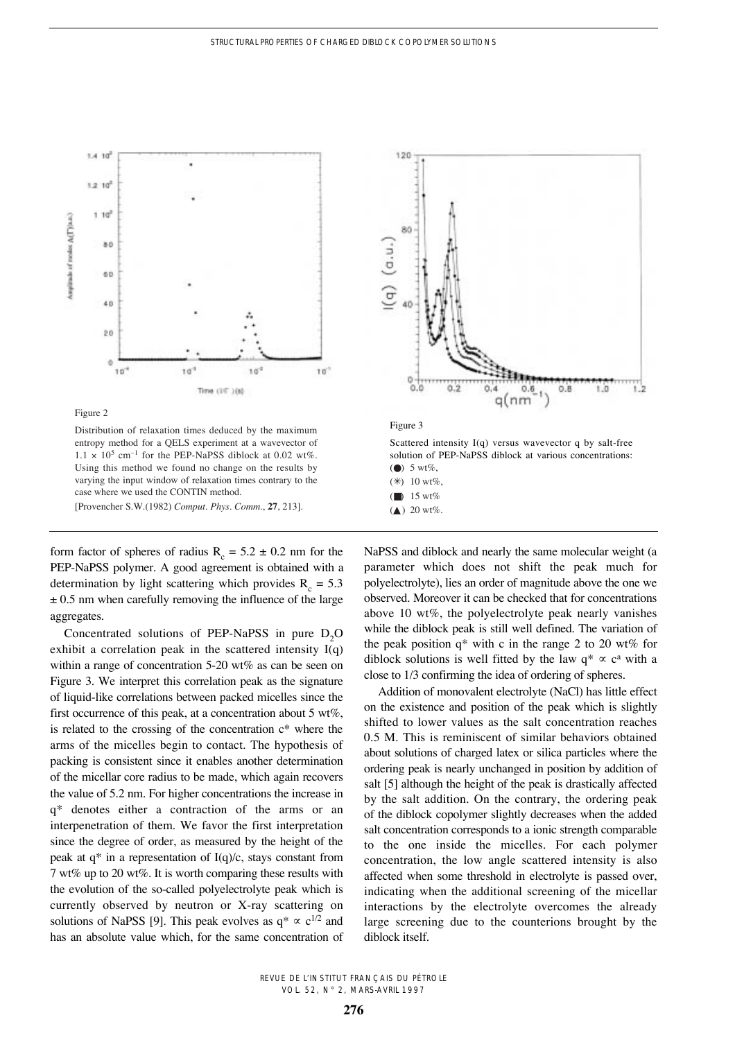

Figure 2

Distribution of relaxation times deduced by the maximum entropy method for a QELS experiment at a wavevector of  $1.1 \times 10^5$  cm<sup>-1</sup> for the PEP-NaPSS diblock at 0.02 wt%. Using this method we found no change on the results by varying the input window of relaxation times contrary to the case where we used the CONTIN method. [Provencher S.W.(1982) *Comput. Phys. Comm*., **27**, 213].

form factor of spheres of radius  $R_c = 5.2 \pm 0.2$  nm for the PEP-NaPSS polymer. A good agreement is obtained with a determination by light scattering which provides  $R_c = 5.3$  $\pm$  0.5 nm when carefully removing the influence of the large aggregates.

Concentrated solutions of PEP-NaPSS in pure  $D_2O$ exhibit a correlation peak in the scattered intensity I(q) within a range of concentration 5-20 wt% as can be seen on Figure 3. We interpret this correlation peak as the signature of liquid-like correlations between packed micelles since the first occurrence of this peak, at a concentration about 5  $wt\%$ , is related to the crossing of the concentration c\* where the arms of the micelles begin to contact. The hypothesis of packing is consistent since it enables another determination of the micellar core radius to be made, which again recovers the value of 5.2 nm. For higher concentrations the increase in q\* denotes either a contraction of the arms or an interpenetration of them. We favor the first interpretation since the degree of order, as measured by the height of the peak at  $q^*$  in a representation of  $I(q)/c$ , stays constant from 7 wt% up to 20 wt%. It is worth comparing these results with the evolution of the so-called polyelectrolyte peak which is currently observed by neutron or X-ray scattering on solutions of NaPSS [9]. This peak evolves as  $q^* \propto c^{1/2}$  and has an absolute value which, for the same concentration of



NaPSS and diblock and nearly the same molecular weight (a parameter which does not shift the peak much for polyelectrolyte), lies an order of magnitude above the one we observed. Moreover it can be checked that for concentrations above 10 wt%, the polyelectrolyte peak nearly vanishes while the diblock peak is still well defined. The variation of the peak position  $q^*$  with c in the range 2 to 20 wt% for diblock solutions is well fitted by the law  $q^* \propto c^a$  with a close to 1/3 confirming the idea of ordering of spheres.

Addition of monovalent electrolyte (NaCl) has little effect on the existence and position of the peak which is slightly shifted to lower values as the salt concentration reaches 0.5 M. This is reminiscent of similar behaviors obtained about solutions of charged latex or silica particles where the ordering peak is nearly unchanged in position by addition of salt [5] although the height of the peak is drastically affected by the salt addition. On the contrary, the ordering peak of the diblock copolymer slightly decreases when the added salt concentration corresponds to a ionic strength comparable to the one inside the micelles. For each polymer concentration, the low angle scattered intensity is also affected when some threshold in electrolyte is passed over, indicating when the additional screening of the micellar interactions by the electrolyte overcomes the already large screening due to the counterions brought by the diblock itself.